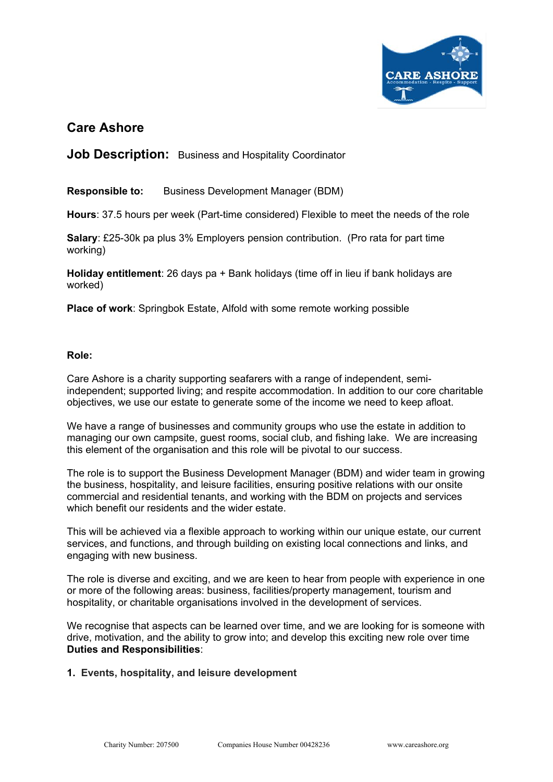

# **Care Ashore**

**Job Description:** Business and Hospitality Coordinator

**Responsible to:** Business Development Manager (BDM)

**Hours**: 37.5 hours per week (Part-time considered) Flexible to meet the needs of the role

**Salary**: £25-30k pa plus 3% Employers pension contribution. (Pro rata for part time working)

**Holiday entitlement**: 26 days pa + Bank holidays (time off in lieu if bank holidays are worked)

**Place of work**: Springbok Estate, Alfold with some remote working possible

### **Role:**

Care Ashore is a charity supporting seafarers with a range of independent, semiindependent; supported living; and respite accommodation. In addition to our core charitable objectives, we use our estate to generate some of the income we need to keep afloat.

We have a range of businesses and community groups who use the estate in addition to managing our own campsite, guest rooms, social club, and fishing lake. We are increasing this element of the organisation and this role will be pivotal to our success.

The role is to support the Business Development Manager (BDM) and wider team in growing the business, hospitality, and leisure facilities, ensuring positive relations with our onsite commercial and residential tenants, and working with the BDM on projects and services which benefit our residents and the wider estate.

This will be achieved via a flexible approach to working within our unique estate, our current services, and functions, and through building on existing local connections and links, and engaging with new business.

The role is diverse and exciting, and we are keen to hear from people with experience in one or more of the following areas: business, facilities/property management, tourism and hospitality, or charitable organisations involved in the development of services.

We recognise that aspects can be learned over time, and we are looking for is someone with drive, motivation, and the ability to grow into; and develop this exciting new role over time **Duties and Responsibilities**:

#### **1. Events, hospitality, and leisure development**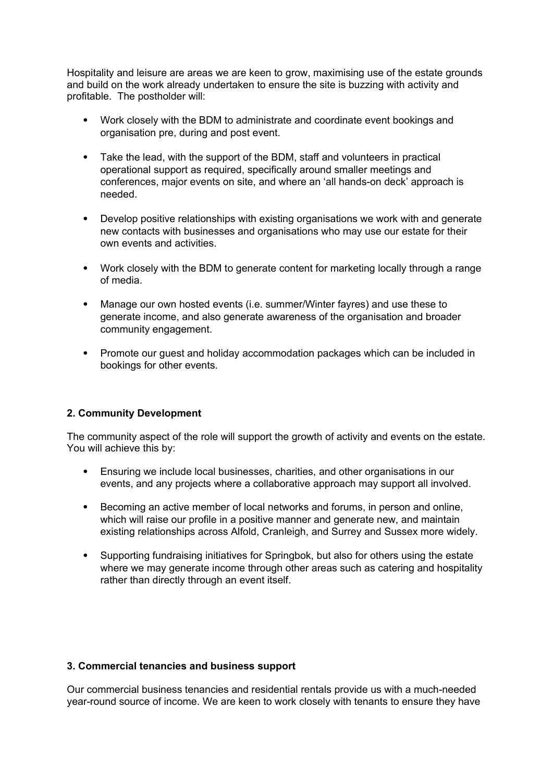Hospitality and leisure are areas we are keen to grow, maximising use of the estate grounds and build on the work already undertaken to ensure the site is buzzing with activity and profitable. The postholder will:

- Work closely with the BDM to administrate and coordinate event bookings and organisation pre, during and post event.
- Take the lead, with the support of the BDM, staff and volunteers in practical operational support as required, specifically around smaller meetings and conferences, major events on site, and where an 'all hands-on deck' approach is needed.
- Develop positive relationships with existing organisations we work with and generate new contacts with businesses and organisations who may use our estate for their own events and activities.
- Work closely with the BDM to generate content for marketing locally through a range of media.
- Manage our own hosted events (i.e. summer/Winter fayres) and use these to generate income, and also generate awareness of the organisation and broader community engagement.
- Promote our quest and holiday accommodation packages which can be included in bookings for other events.

# **2. Community Development**

The community aspect of the role will support the growth of activity and events on the estate. You will achieve this by:

- Ensuring we include local businesses, charities, and other organisations in our events, and any projects where a collaborative approach may support all involved.
- Becoming an active member of local networks and forums, in person and online, which will raise our profile in a positive manner and generate new, and maintain existing relationships across Alfold, Cranleigh, and Surrey and Sussex more widely.
- Supporting fundraising initiatives for Springbok, but also for others using the estate where we may generate income through other areas such as catering and hospitality rather than directly through an event itself.

# **3. Commercial tenancies and business support**

Our commercial business tenancies and residential rentals provide us with a much-needed year-round source of income. We are keen to work closely with tenants to ensure they have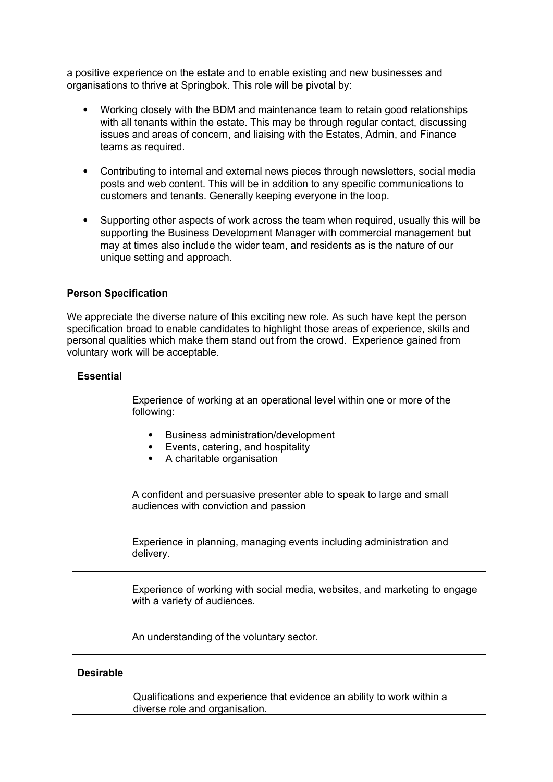a positive experience on the estate and to enable existing and new businesses and organisations to thrive at Springbok. This role will be pivotal by:

- Working closely with the BDM and maintenance team to retain good relationships with all tenants within the estate. This may be through regular contact, discussing issues and areas of concern, and liaising with the Estates, Admin, and Finance teams as required.
- Contributing to internal and external news pieces through newsletters, social media posts and web content. This will be in addition to any specific communications to customers and tenants. Generally keeping everyone in the loop.
- Supporting other aspects of work across the team when required, usually this will be supporting the Business Development Manager with commercial management but may at times also include the wider team, and residents as is the nature of our unique setting and approach.

### **Person Specification**

We appreciate the diverse nature of this exciting new role. As such have kept the person specification broad to enable candidates to highlight those areas of experience, skills and personal qualities which make them stand out from the crowd. Experience gained from voluntary work will be acceptable.

| <b>Essential</b> |                                                                                                                |
|------------------|----------------------------------------------------------------------------------------------------------------|
|                  | Experience of working at an operational level within one or more of the                                        |
|                  | following:                                                                                                     |
|                  | Business administration/development<br>Events, catering, and hospitality<br>A charitable organisation          |
|                  | A confident and persuasive presenter able to speak to large and small<br>audiences with conviction and passion |
|                  | Experience in planning, managing events including administration and<br>delivery.                              |
|                  | Experience of working with social media, websites, and marketing to engage<br>with a variety of audiences.     |
|                  | An understanding of the voluntary sector.                                                                      |
|                  |                                                                                                                |

| <b>Desirable</b> |                                                                                                           |
|------------------|-----------------------------------------------------------------------------------------------------------|
|                  | Qualifications and experience that evidence an ability to work within a<br>diverse role and organisation. |